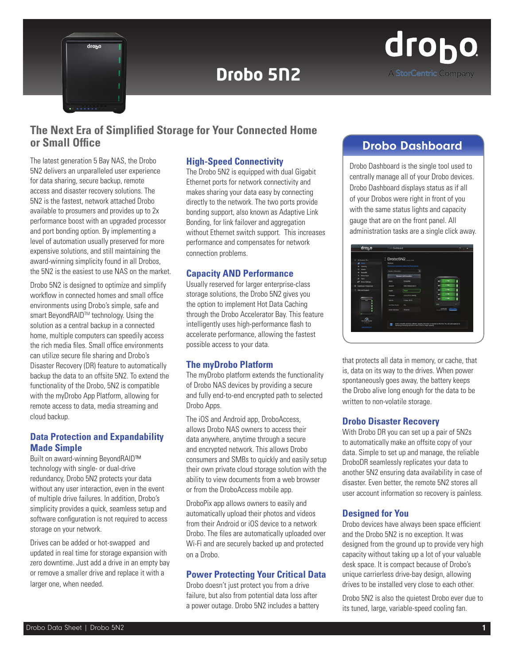

# **Drobo 5N2**



# **The Next Era of Simplified Storage for Your Connected Home or Small Office** Drobo Dashboard

The latest generation 5 Bay NAS, the Drobo 5N2 delivers an unparalleled user experience for data sharing, secure backup, remote access and disaster recovery solutions. The 5N2 is the fastest, network attached Drobo available to prosumers and provides up to 2x performance boost with an upgraded processor and port bonding option. By implementing a level of automation usually preserved for more expensive solutions, and still maintaining the award-winning simplicity found in all Drobos, the 5N2 is the easiest to use NAS on the market.

Drobo 5N2 is designed to optimize and simplify workflow in connected homes and small office environments using Drobo's simple, safe and smart BeyondRAID™ technology. Using the solution as a central backup in a connected home, multiple computers can speedily access the rich media files. Small office environments can utilize secure file sharing and Drobo's Disaster Recovery (DR) feature to automatically backup the data to an offsite 5N2. To extend the functionality of the Drobo, 5N2 is compatible with the myDrobo App Platform, allowing for remote access to data, media streaming and cloud backup.

# **Data Protection and Expandability Made Simple**

Built on award-winning BeyondRAID™ technology with single- or dual-drive redundancy, Drobo 5N2 protects your data without any user interaction, even in the event of multiple drive failures. In addition, Drobo's simplicity provides a quick, seamless setup and software configuration is not required to access storage on your network.

Drives can be added or hot-swapped and updated in real time for storage expansion with zero downtime. Just add a drive in an empty bay or remove a smaller drive and replace it with a larger one, when needed.

# **High-Speed Connectivity**

The Drobo 5N2 is equipped with dual Gigabit Ethernet ports for network connectivity and makes sharing your data easy by connecting directly to the network. The two ports provide bonding support, also known as Adaptive Link Bonding, for link failover and aggregation without Ethernet switch support. This increases performance and compensates for network connection problems.

# **Capacity AND Performance**

Usually reserved for larger enterprise-class storage solutions, the Drobo 5N2 gives you the option to implement Hot Data Caching through the Drobo Accelerator Bay. This feature intelligently uses high-performance flash to accelerate performance, allowing the fastest possible access to your data.

# **The myDrobo Platform**

The myDrobo platform extends the functionality of Drobo NAS devices by providing a secure and fully end-to-end encrypted path to selected Drobo Apps.

The iOS and Android app, DroboAccess, allows Drobo NAS owners to access their data anywhere, anytime through a secure and encrypted network. This allows Drobo consumers and SMBs to quickly and easily setup their own private cloud storage solution with the ability to view documents from a web browser or from the DroboAccess mobile app.

DroboPix app allows owners to easily and automatically upload their photos and videos from their Android or iOS device to a network Drobo. The files are automatically uploaded over Wi-Fi and are securely backed up and protected on a Drobo.

# **Power Protecting Your Critical Data**

Drobo doesn't just protect you from a drive failure, but also from potential data loss after a power outage. Drobo 5N2 includes a battery

Drobo Dashboard is the single tool used to centrally manage all of your Drobo devices. Drobo Dashboard displays status as if all of your Drobos were right in front of you with the same status lights and capacity gauge that are on the front panel. All administration tasks are a single click away.

| All Droben (30)<br>n.                   | : Drobo5N2                                        |                                                                                                           |  |                  |                 |  |
|-----------------------------------------|---------------------------------------------------|-----------------------------------------------------------------------------------------------------------|--|------------------|-----------------|--|
| A Data                                  | Status                                            |                                                                                                           |  |                  |                 |  |
| G Capacky                               | Click have to conserved protect this Drobo device |                                                                                                           |  |                  |                 |  |
| <b>Shares</b><br>۰                      |                                                   |                                                                                                           |  |                  |                 |  |
| <b>DroboDR</b><br>۰                     | <b>System Information</b>                         |                                                                                                           |  |                  |                 |  |
| <b>Drobe-Azes</b><br>$\mathbf{a}$       | <b>System Information</b>                         |                                                                                                           |  |                  |                 |  |
| <b>Toris</b><br>×                       |                                                   |                                                                                                           |  |                  |                 |  |
| Orobo Settings.<br>ø٥                   | <b>Alarms</b>                                     | DrobotP42                                                                                                 |  | e                | $2$ TB          |  |
| <b>Dashboard Preferences</b><br>$\circ$ | Serial #                                          | DRA165002300011                                                                                           |  | н                | $2$ TR          |  |
| Help and Support<br>٠                   | Health                                            | <b>Good</b>                                                                                               |  | ۰                | $2$ TB          |  |
|                                         | Firmware                                          | 40.0113.11.09030                                                                                          |  | -                | $2$ TB          |  |
| -                                       | Upone.                                            | 0-86/6 00:03                                                                                              |  | $\sim$           | 2T <sub>0</sub> |  |
|                                         | Hiri Data Carba                                   | $\sim$                                                                                                    |  | - 4              |                 |  |
|                                         | Actve Interface                                   | Dhenet                                                                                                    |  | Avelerate artist | <b>HATAVID</b>  |  |
|                                         |                                                   |                                                                                                           |  |                  |                 |  |
| <b>Hot Data Cache</b>                   |                                                   |                                                                                                           |  |                  |                 |  |
| is active.                              | m                                                 | Drobo is healthy and has sufficient capacity. No action is required at this time. You can add capacity by |  |                  |                 |  |
| www.drobo.com                           |                                                   | replacing an existing hard drive with a drive of larger capacity.                                         |  |                  |                 |  |

that protects all data in memory, or cache, that is, data on its way to the drives. When power spontaneously goes away, the battery keeps the Drobo alive long enough for the data to be written to non-volatile storage.

# **Drobo Disaster Recovery**

With Drobo DR you can set up a pair of 5N2s to automatically make an offsite copy of your data. Simple to set up and manage, the reliable DroboDR seamlessly replicates your data to another 5N2 ensuring data availability in case of disaster. Even better, the remote 5N2 stores all user account information so recovery is painless.

# **Designed for You**

Drobo devices have always been space efficient and the Drobo 5N2 is no exception. It was designed from the ground up to provide very high capacity without taking up a lot of your valuable desk space. It is compact because of Drobo's unique carrierless drive-bay design, allowing drives to be installed very close to each other.

Drobo 5N2 is also the quietest Drobo ever due to its tuned, large, variable-speed cooling fan.